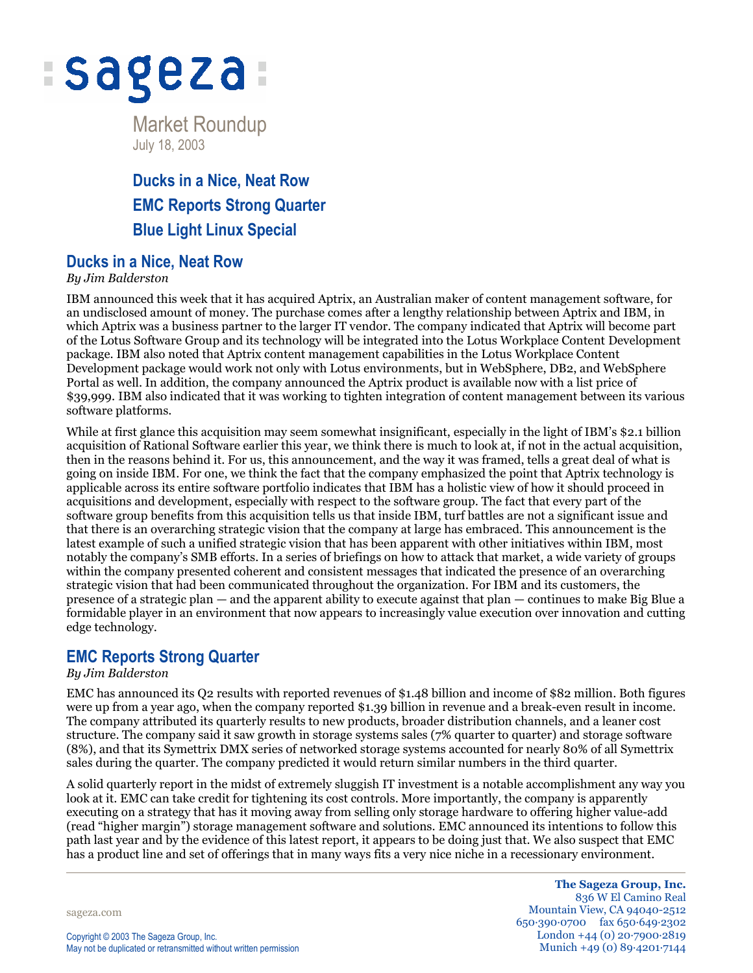

Market Roundup July 18, 2003

# **Ducks in a Nice, Neat Row EMC Reports Strong Quarter Blue Light Linux Special**

### **Ducks in a Nice, Neat Row**

#### *By Jim Balderston*

IBM announced this week that it has acquired Aptrix, an Australian maker of content management software, for an undisclosed amount of money. The purchase comes after a lengthy relationship between Aptrix and IBM, in which Aptrix was a business partner to the larger IT vendor. The company indicated that Aptrix will become part of the Lotus Software Group and its technology will be integrated into the Lotus Workplace Content Development package. IBM also noted that Aptrix content management capabilities in the Lotus Workplace Content Development package would work not only with Lotus environments, but in WebSphere, DB2, and WebSphere Portal as well. In addition, the company announced the Aptrix product is available now with a list price of \$39,999. IBM also indicated that it was working to tighten integration of content management between its various software platforms.

While at first glance this acquisition may seem somewhat insignificant, especially in the light of IBM's \$2.1 billion acquisition of Rational Software earlier this year, we think there is much to look at, if not in the actual acquisition, then in the reasons behind it. For us, this announcement, and the way it was framed, tells a great deal of what is going on inside IBM. For one, we think the fact that the company emphasized the point that Aptrix technology is applicable across its entire software portfolio indicates that IBM has a holistic view of how it should proceed in acquisitions and development, especially with respect to the software group. The fact that every part of the software group benefits from this acquisition tells us that inside IBM, turf battles are not a significant issue and that there is an overarching strategic vision that the company at large has embraced. This announcement is the latest example of such a unified strategic vision that has been apparent with other initiatives within IBM, most notably the company's SMB efforts. In a series of briefings on how to attack that market, a wide variety of groups within the company presented coherent and consistent messages that indicated the presence of an overarching strategic vision that had been communicated throughout the organization. For IBM and its customers, the presence of a strategic plan — and the apparent ability to execute against that plan — continues to make Big Blue a formidable player in an environment that now appears to increasingly value execution over innovation and cutting edge technology.

### **EMC Reports Strong Quarter**

#### *By Jim Balderston*

EMC has announced its Q2 results with reported revenues of \$1.48 billion and income of \$82 million. Both figures were up from a year ago, when the company reported \$1.39 billion in revenue and a break-even result in income. The company attributed its quarterly results to new products, broader distribution channels, and a leaner cost structure. The company said it saw growth in storage systems sales (7% quarter to quarter) and storage software (8%), and that its Symettrix DMX series of networked storage systems accounted for nearly 80% of all Symettrix sales during the quarter. The company predicted it would return similar numbers in the third quarter.

A solid quarterly report in the midst of extremely sluggish IT investment is a notable accomplishment any way you look at it. EMC can take credit for tightening its cost controls. More importantly, the company is apparently executing on a strategy that has it moving away from selling only storage hardware to offering higher value-add (read "higher margin") storage management software and solutions. EMC announced its intentions to follow this path last year and by the evidence of this latest report, it appears to be doing just that. We also suspect that EMC has a product line and set of offerings that in many ways fits a very nice niche in a recessionary environment.

sageza.com

**The Sageza Group, Inc.** 836 W El Camino Real Mountain View, CA 94040-2512 650·390·0700 fax 650·649·2302 London +44 (0) 20·7900·2819 Munich +49 (0) 89·4201·7144